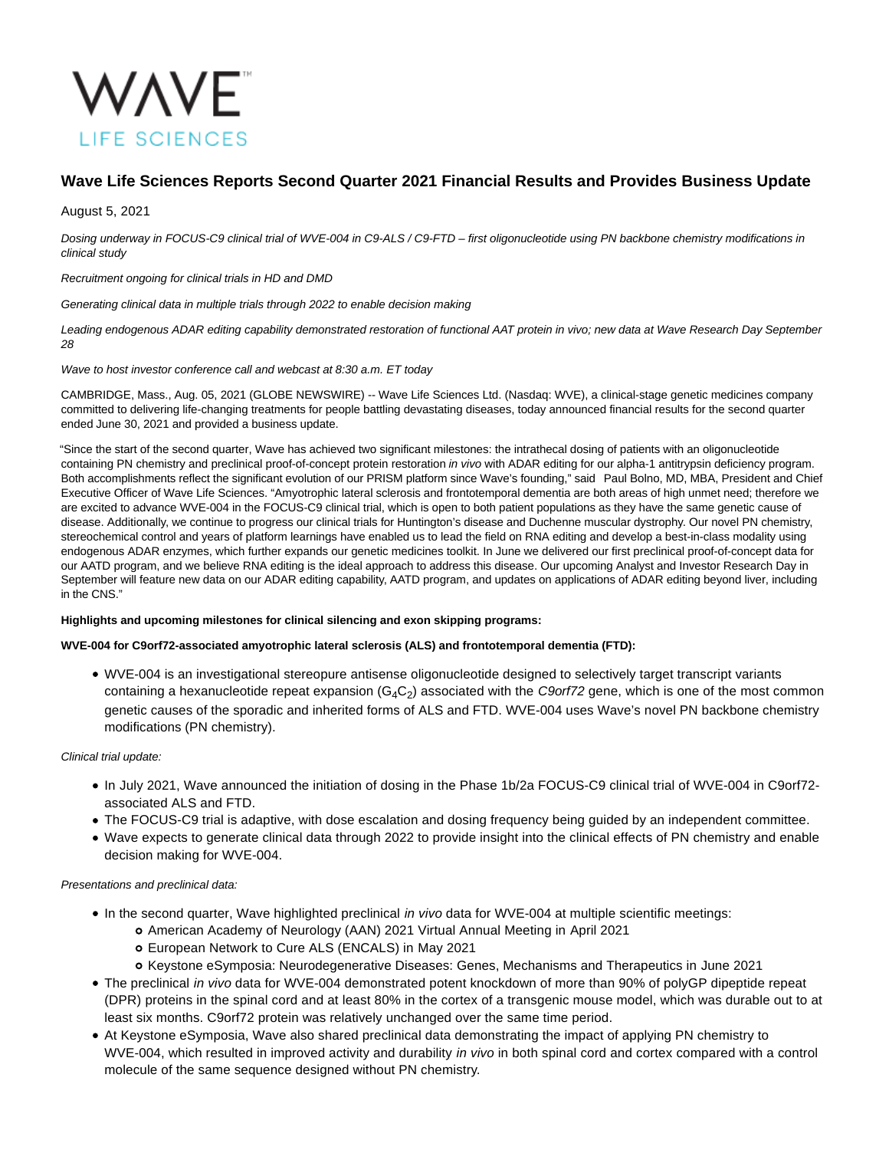

# **Wave Life Sciences Reports Second Quarter 2021 Financial Results and Provides Business Update**

August 5, 2021

Dosing underway in FOCUS-C9 clinical trial of WVE-004 in C9-ALS / C9-FTD – first oligonucleotide using PN backbone chemistry modifications in clinical study

#### Recruitment ongoing for clinical trials in HD and DMD

Generating clinical data in multiple trials through 2022 to enable decision making

Leading endogenous ADAR editing capability demonstrated restoration of functional AAT protein in vivo; new data at Wave Research Day September 28

Wave to host investor conference call and webcast at 8:30 a.m. ET today

CAMBRIDGE, Mass., Aug. 05, 2021 (GLOBE NEWSWIRE) -- Wave Life Sciences Ltd. (Nasdaq: WVE), a clinical-stage genetic medicines company committed to delivering life-changing treatments for people battling devastating diseases, today announced financial results for the second quarter ended June 30, 2021 and provided a business update.

"Since the start of the second quarter, Wave has achieved two significant milestones: the intrathecal dosing of patients with an oligonucleotide containing PN chemistry and preclinical proof-of-concept protein restoration in vivo with ADAR editing for our alpha-1 antitrypsin deficiency program. Both accomplishments reflect the significant evolution of our PRISM platform since Wave's founding," said Paul Bolno, MD, MBA, President and Chief Executive Officer of Wave Life Sciences. "Amyotrophic lateral sclerosis and frontotemporal dementia are both areas of high unmet need; therefore we are excited to advance WVE-004 in the FOCUS-C9 clinical trial, which is open to both patient populations as they have the same genetic cause of disease. Additionally, we continue to progress our clinical trials for Huntington's disease and Duchenne muscular dystrophy. Our novel PN chemistry, stereochemical control and years of platform learnings have enabled us to lead the field on RNA editing and develop a best-in-class modality using endogenous ADAR enzymes, which further expands our genetic medicines toolkit. In June we delivered our first preclinical proof-of-concept data for our AATD program, and we believe RNA editing is the ideal approach to address this disease. Our upcoming Analyst and Investor Research Day in September will feature new data on our ADAR editing capability, AATD program, and updates on applications of ADAR editing beyond liver, including in the CNS."

### **Highlights and upcoming milestones for clinical silencing and exon skipping programs:**

### **WVE-004 for C9orf72-associated amyotrophic lateral sclerosis (ALS) and frontotemporal dementia (FTD):**

WVE-004 is an investigational stereopure antisense oligonucleotide designed to selectively target transcript variants containing a hexanucleotide repeat expansion  $(G_4C_2)$  associated with the C9orf72 gene, which is one of the most common genetic causes of the sporadic and inherited forms of ALS and FTD. WVE-004 uses Wave's novel PN backbone chemistry modifications (PN chemistry).

#### Clinical trial update:

- In July 2021, Wave announced the initiation of dosing in the Phase 1b/2a FOCUS-C9 clinical trial of WVE-004 in C9orf72 associated ALS and FTD.
- The FOCUS-C9 trial is adaptive, with dose escalation and dosing frequency being guided by an independent committee.
- Wave expects to generate clinical data through 2022 to provide insight into the clinical effects of PN chemistry and enable decision making for WVE-004.

#### Presentations and preclinical data:

- In the second quarter, Wave highlighted preclinical in vivo data for WVE-004 at multiple scientific meetings:
	- American Academy of Neurology (AAN) 2021 Virtual Annual Meeting in April 2021
		- European Network to Cure ALS (ENCALS) in May 2021
	- Keystone eSymposia: Neurodegenerative Diseases: Genes, Mechanisms and Therapeutics in June 2021
- The preclinical in vivo data for WVE-004 demonstrated potent knockdown of more than 90% of polyGP dipeptide repeat (DPR) proteins in the spinal cord and at least 80% in the cortex of a transgenic mouse model, which was durable out to at least six months. C9orf72 protein was relatively unchanged over the same time period.
- At Keystone eSymposia, Wave also shared preclinical data demonstrating the impact of applying PN chemistry to WVE-004, which resulted in improved activity and durability in vivo in both spinal cord and cortex compared with a control molecule of the same sequence designed without PN chemistry.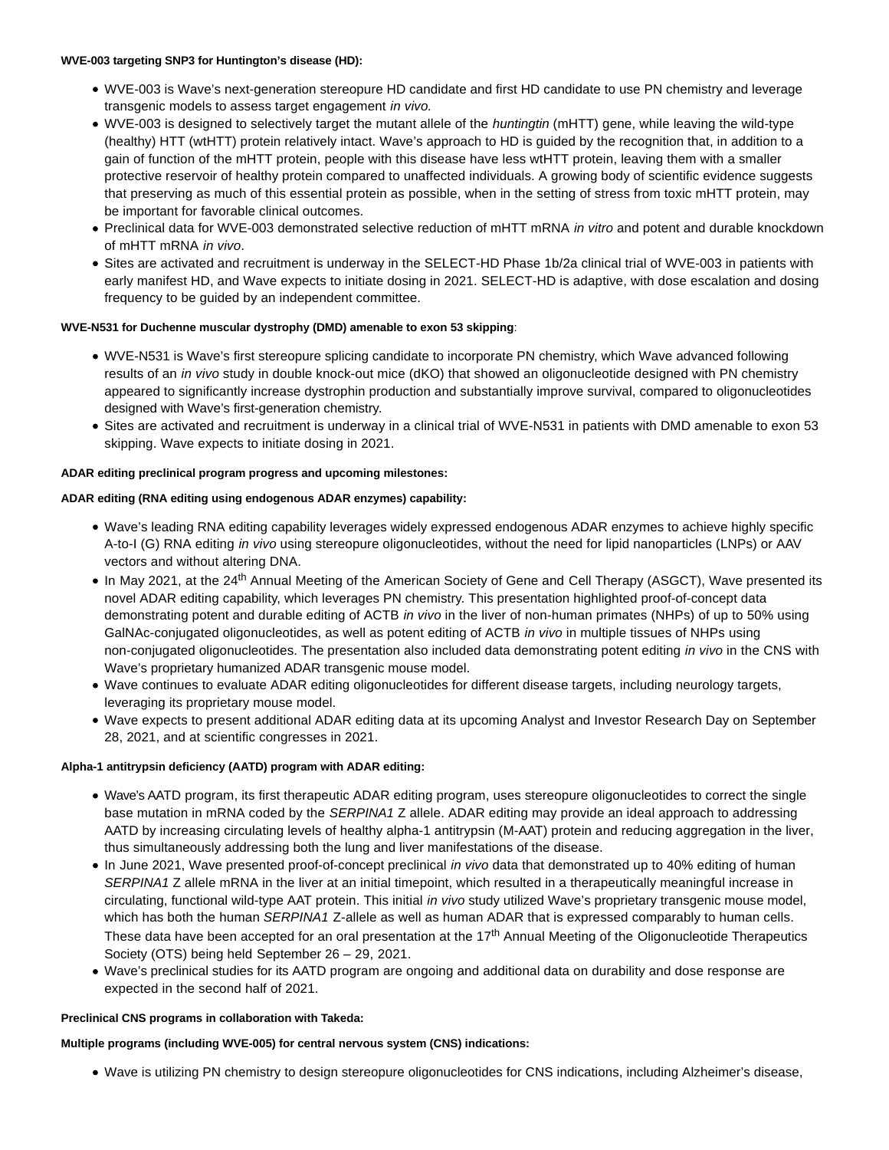### **WVE-003 targeting SNP3 for Huntington's disease (HD):**

- WVE-003 is Wave's next-generation stereopure HD candidate and first HD candidate to use PN chemistry and leverage transgenic models to assess target engagement in vivo.
- WVE-003 is designed to selectively target the mutant allele of the huntingtin (mHTT) gene, while leaving the wild-type (healthy) HTT (wtHTT) protein relatively intact. Wave's approach to HD is guided by the recognition that, in addition to a gain of function of the mHTT protein, people with this disease have less wtHTT protein, leaving them with a smaller protective reservoir of healthy protein compared to unaffected individuals. A growing body of scientific evidence suggests that preserving as much of this essential protein as possible, when in the setting of stress from toxic mHTT protein, may be important for favorable clinical outcomes.
- Preclinical data for WVE-003 demonstrated selective reduction of mHTT mRNA in vitro and potent and durable knockdown of mHTT mRNA in vivo.
- Sites are activated and recruitment is underway in the SELECT-HD Phase 1b/2a clinical trial of WVE-003 in patients with early manifest HD, and Wave expects to initiate dosing in 2021. SELECT-HD is adaptive, with dose escalation and dosing frequency to be guided by an independent committee.

## **WVE-N531 for Duchenne muscular dystrophy (DMD) amenable to exon 53 skipping**:

- WVE-N531 is Wave's first stereopure splicing candidate to incorporate PN chemistry, which Wave advanced following results of an *in vivo* study in double knock-out mice (dKO) that showed an oligonucleotide designed with PN chemistry appeared to significantly increase dystrophin production and substantially improve survival, compared to oligonucleotides designed with Wave's first-generation chemistry.
- Sites are activated and recruitment is underway in a clinical trial of WVE-N531 in patients with DMD amenable to exon 53 skipping. Wave expects to initiate dosing in 2021.

## **ADAR editing preclinical program progress and upcoming milestones:**

## **ADAR editing (RNA editing using endogenous ADAR enzymes) capability:**

- Wave's leading RNA editing capability leverages widely expressed endogenous ADAR enzymes to achieve highly specific A-to-I (G) RNA editing in vivo using stereopure oligonucleotides, without the need for lipid nanoparticles (LNPs) or AAV vectors and without altering DNA.
- In May 2021, at the 24<sup>th</sup> Annual Meeting of the American Society of Gene and Cell Therapy (ASGCT), Wave presented its novel ADAR editing capability, which leverages PN chemistry. This presentation highlighted proof-of-concept data demonstrating potent and durable editing of ACTB in vivo in the liver of non-human primates (NHPs) of up to 50% using GalNAc-conjugated oligonucleotides, as well as potent editing of ACTB in vivo in multiple tissues of NHPs using non-conjugated oligonucleotides. The presentation also included data demonstrating potent editing in vivo in the CNS with Wave's proprietary humanized ADAR transgenic mouse model.
- Wave continues to evaluate ADAR editing oligonucleotides for different disease targets, including neurology targets, leveraging its proprietary mouse model.
- Wave expects to present additional ADAR editing data at its upcoming Analyst and Investor Research Day on September 28, 2021, and at scientific congresses in 2021.

### **Alpha-1 antitrypsin deficiency (AATD) program with ADAR editing:**

- Wave's AATD program, its first therapeutic ADAR editing program, uses stereopure oligonucleotides to correct the single base mutation in mRNA coded by the SERPINA1 Z allele. ADAR editing may provide an ideal approach to addressing AATD by increasing circulating levels of healthy alpha-1 antitrypsin (M-AAT) protein and reducing aggregation in the liver, thus simultaneously addressing both the lung and liver manifestations of the disease.
- In June 2021, Wave presented proof-of-concept preclinical in vivo data that demonstrated up to 40% editing of human SERPINA1 Z allele mRNA in the liver at an initial timepoint, which resulted in a therapeutically meaningful increase in circulating, functional wild-type AAT protein. This initial in vivo study utilized Wave's proprietary transgenic mouse model, which has both the human SERPINA1 Z-allele as well as human ADAR that is expressed comparably to human cells. These data have been accepted for an oral presentation at the  $17<sup>th</sup>$  Annual Meeting of the Oligonucleotide Therapeutics Society (OTS) being held September 26 – 29, 2021.
- Wave's preclinical studies for its AATD program are ongoing and additional data on durability and dose response are expected in the second half of 2021.

### **Preclinical CNS programs in collaboration with Takeda:**

### **Multiple programs (including WVE-005) for central nervous system (CNS) indications:**

Wave is utilizing PN chemistry to design stereopure oligonucleotides for CNS indications, including Alzheimer's disease,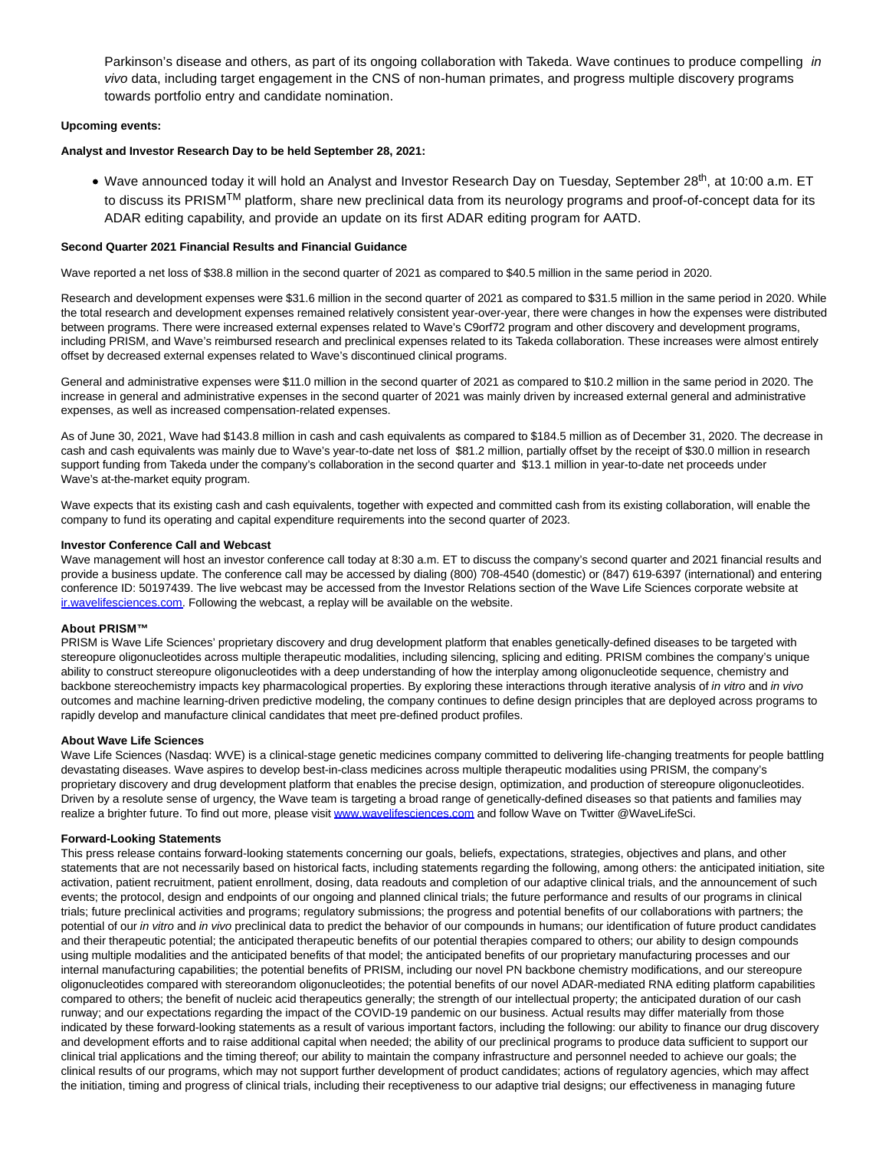Parkinson's disease and others, as part of its ongoing collaboration with Takeda. Wave continues to produce compelling in vivo data, including target engagement in the CNS of non-human primates, and progress multiple discovery programs towards portfolio entry and candidate nomination.

#### **Upcoming events:**

#### **Analyst and Investor Research Day to be held September 28, 2021:**

• Wave announced today it will hold an Analyst and Investor Research Day on Tuesday, September 28<sup>th</sup>, at 10:00 a.m. ET to discuss its PRISM<sup>TM</sup> platform, share new preclinical data from its neurology programs and proof-of-concept data for its ADAR editing capability, and provide an update on its first ADAR editing program for AATD.

#### **Second Quarter 2021 Financial Results and Financial Guidance**

Wave reported a net loss of \$38.8 million in the second quarter of 2021 as compared to \$40.5 million in the same period in 2020.

Research and development expenses were \$31.6 million in the second quarter of 2021 as compared to \$31.5 million in the same period in 2020. While the total research and development expenses remained relatively consistent year-over-year, there were changes in how the expenses were distributed between programs. There were increased external expenses related to Wave's C9orf72 program and other discovery and development programs, including PRISM, and Wave's reimbursed research and preclinical expenses related to its Takeda collaboration. These increases were almost entirely offset by decreased external expenses related to Wave's discontinued clinical programs.

General and administrative expenses were \$11.0 million in the second quarter of 2021 as compared to \$10.2 million in the same period in 2020. The increase in general and administrative expenses in the second quarter of 2021 was mainly driven by increased external general and administrative expenses, as well as increased compensation-related expenses.

As of June 30, 2021, Wave had \$143.8 million in cash and cash equivalents as compared to \$184.5 million as of December 31, 2020. The decrease in cash and cash equivalents was mainly due to Wave's year-to-date net loss of \$81.2 million, partially offset by the receipt of \$30.0 million in research support funding from Takeda under the company's collaboration in the second quarter and \$13.1 million in year-to-date net proceeds under Wave's at-the-market equity program.

Wave expects that its existing cash and cash equivalents, together with expected and committed cash from its existing collaboration, will enable the company to fund its operating and capital expenditure requirements into the second quarter of 2023.

#### **Investor Conference Call and Webcast**

Wave management will host an investor conference call today at 8:30 a.m. ET to discuss the company's second quarter and 2021 financial results and provide a business update. The conference call may be accessed by dialing (800) 708-4540 (domestic) or (847) 619-6397 (international) and entering conference ID: 50197439. The live webcast may be accessed from the Investor Relations section of the Wave Life Sciences corporate website at [ir.wavelifesciences.com.](https://www.globenewswire.com/Tracker?data=7a5egOs2vL5_WNtLgQcjm4WBV6YSbndinArn-jzSdT2vQ3d7oOqwFf401yY5k0imrfzkyKE44Y4GiIskgDMtADftvc7IHNpbLEqZ0wlIGdQ=) Following the webcast, a replay will be available on the website.

#### **About PRISM™**

PRISM is Wave Life Sciences' proprietary discovery and drug development platform that enables genetically-defined diseases to be targeted with stereopure oligonucleotides across multiple therapeutic modalities, including silencing, splicing and editing. PRISM combines the company's unique ability to construct stereopure oligonucleotides with a deep understanding of how the interplay among oligonucleotide sequence, chemistry and backbone stereochemistry impacts key pharmacological properties. By exploring these interactions through iterative analysis of in vitro and in vivo outcomes and machine learning-driven predictive modeling, the company continues to define design principles that are deployed across programs to rapidly develop and manufacture clinical candidates that meet pre-defined product profiles.

#### **About Wave Life Sciences**

Wave Life Sciences (Nasdaq: WVE) is a clinical-stage genetic medicines company committed to delivering life-changing treatments for people battling devastating diseases. Wave aspires to develop best-in-class medicines across multiple therapeutic modalities using PRISM, the company's proprietary discovery and drug development platform that enables the precise design, optimization, and production of stereopure oligonucleotides. Driven by a resolute sense of urgency, the Wave team is targeting a broad range of genetically-defined diseases so that patients and families may realize a brighter future. To find out more, please visi[t www.wavelifesciences.com a](https://www.globenewswire.com/Tracker?data=d5QlT0iwKcsPMq5FG-TuPMMWiUA3BIC2F37ZJN8VJ_gcpHUP6tmhgBOG-lNcnVM_fAtzSMGgdJDBy5AZJYU4J4IORnHXMRv7ZgxvbxCZAIk=)nd follow Wave on Twitter @WaveLifeSci.

#### **Forward-Looking Statements**

This press release contains forward-looking statements concerning our goals, beliefs, expectations, strategies, objectives and plans, and other statements that are not necessarily based on historical facts, including statements regarding the following, among others: the anticipated initiation, site activation, patient recruitment, patient enrollment, dosing, data readouts and completion of our adaptive clinical trials, and the announcement of such events; the protocol, design and endpoints of our ongoing and planned clinical trials; the future performance and results of our programs in clinical trials; future preclinical activities and programs; regulatory submissions; the progress and potential benefits of our collaborations with partners; the potential of our in vitro and in vivo preclinical data to predict the behavior of our compounds in humans; our identification of future product candidates and their therapeutic potential; the anticipated therapeutic benefits of our potential therapies compared to others; our ability to design compounds using multiple modalities and the anticipated benefits of that model; the anticipated benefits of our proprietary manufacturing processes and our internal manufacturing capabilities; the potential benefits of PRISM, including our novel PN backbone chemistry modifications, and our stereopure oligonucleotides compared with stereorandom oligonucleotides; the potential benefits of our novel ADAR-mediated RNA editing platform capabilities compared to others; the benefit of nucleic acid therapeutics generally; the strength of our intellectual property; the anticipated duration of our cash runway; and our expectations regarding the impact of the COVID-19 pandemic on our business. Actual results may differ materially from those indicated by these forward-looking statements as a result of various important factors, including the following: our ability to finance our drug discovery and development efforts and to raise additional capital when needed; the ability of our preclinical programs to produce data sufficient to support our clinical trial applications and the timing thereof; our ability to maintain the company infrastructure and personnel needed to achieve our goals; the clinical results of our programs, which may not support further development of product candidates; actions of regulatory agencies, which may affect the initiation, timing and progress of clinical trials, including their receptiveness to our adaptive trial designs; our effectiveness in managing future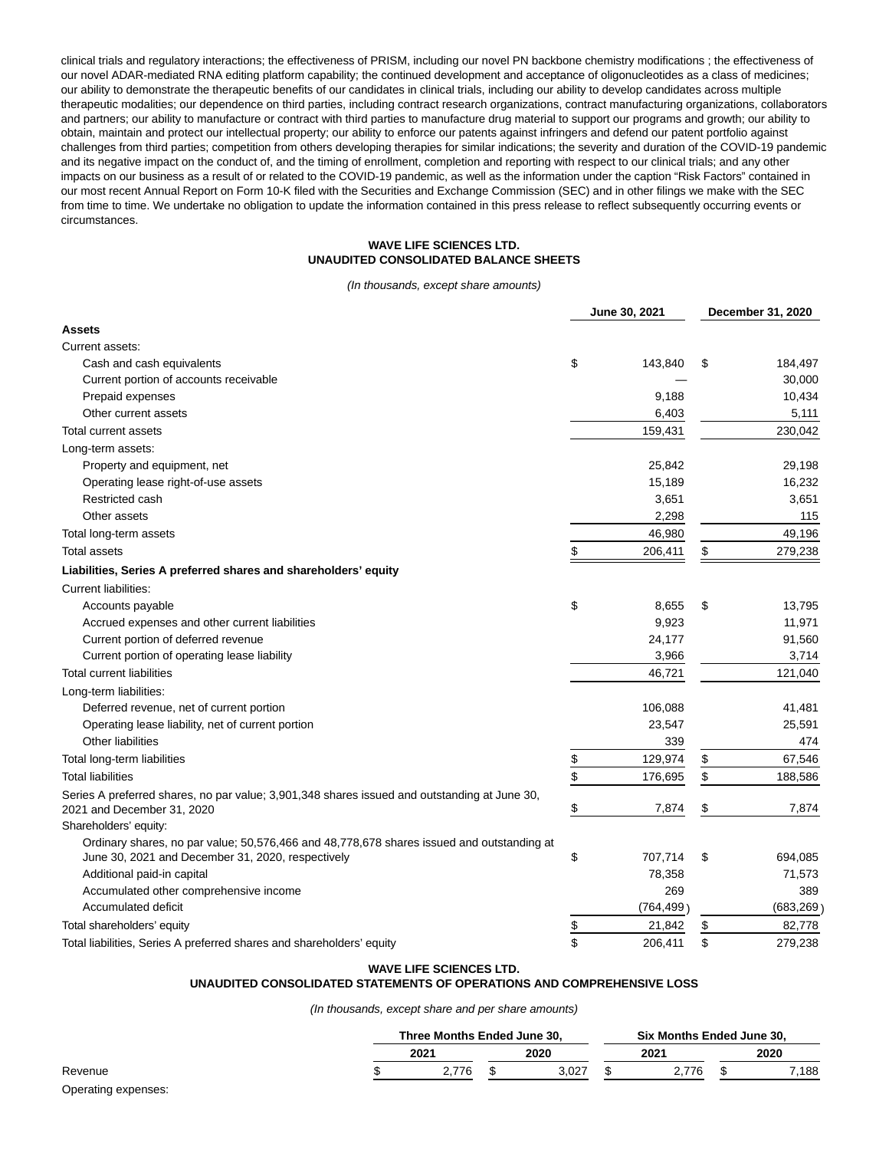clinical trials and regulatory interactions; the effectiveness of PRISM, including our novel PN backbone chemistry modifications ; the effectiveness of our novel ADAR-mediated RNA editing platform capability; the continued development and acceptance of oligonucleotides as a class of medicines; our ability to demonstrate the therapeutic benefits of our candidates in clinical trials, including our ability to develop candidates across multiple therapeutic modalities; our dependence on third parties, including contract research organizations, contract manufacturing organizations, collaborators and partners; our ability to manufacture or contract with third parties to manufacture drug material to support our programs and growth; our ability to obtain, maintain and protect our intellectual property; our ability to enforce our patents against infringers and defend our patent portfolio against challenges from third parties; competition from others developing therapies for similar indications; the severity and duration of the COVID-19 pandemic and its negative impact on the conduct of, and the timing of enrollment, completion and reporting with respect to our clinical trials; and any other impacts on our business as a result of or related to the COVID-19 pandemic, as well as the information under the caption "Risk Factors" contained in our most recent Annual Report on Form 10-K filed with the Securities and Exchange Commission (SEC) and in other filings we make with the SEC from time to time. We undertake no obligation to update the information contained in this press release to reflect subsequently occurring events or circumstances.

### **WAVE LIFE SCIENCES LTD. UNAUDITED CONSOLIDATED BALANCE SHEETS**

(In thousands, except share amounts)

|                                                                                              |    | June 30, 2021 | December 31, 2020 |            |
|----------------------------------------------------------------------------------------------|----|---------------|-------------------|------------|
| <b>Assets</b>                                                                                |    |               |                   |            |
| Current assets:                                                                              |    |               |                   |            |
| Cash and cash equivalents                                                                    | \$ | 143,840       | \$                | 184,497    |
| Current portion of accounts receivable                                                       |    |               |                   | 30,000     |
| Prepaid expenses                                                                             |    | 9,188         |                   | 10,434     |
| Other current assets                                                                         |    | 6,403         |                   | 5,111      |
| <b>Total current assets</b>                                                                  |    | 159,431       |                   | 230,042    |
| Long-term assets:                                                                            |    |               |                   |            |
| Property and equipment, net                                                                  |    | 25,842        |                   | 29,198     |
| Operating lease right-of-use assets                                                          |    | 15,189        |                   | 16,232     |
| Restricted cash                                                                              |    | 3,651         |                   | 3,651      |
| Other assets                                                                                 |    | 2,298         |                   | 115        |
| Total long-term assets                                                                       |    | 46,980        |                   | 49,196     |
| <b>Total assets</b>                                                                          |    | 206,411       | \$                | 279,238    |
| Liabilities, Series A preferred shares and shareholders' equity                              |    |               |                   |            |
| <b>Current liabilities:</b>                                                                  |    |               |                   |            |
| Accounts payable                                                                             | \$ | 8,655         | \$                | 13,795     |
| Accrued expenses and other current liabilities                                               |    | 9,923         |                   | 11,971     |
| Current portion of deferred revenue                                                          |    | 24,177        |                   | 91,560     |
| Current portion of operating lease liability                                                 |    | 3,966         |                   | 3,714      |
| <b>Total current liabilities</b>                                                             |    | 46,721        |                   | 121,040    |
| Long-term liabilities:                                                                       |    |               |                   |            |
| Deferred revenue, net of current portion                                                     |    | 106,088       |                   | 41,481     |
| Operating lease liability, net of current portion                                            |    | 23,547        |                   | 25,591     |
| <b>Other liabilities</b>                                                                     |    | 339           |                   | 474        |
| Total long-term liabilities                                                                  | \$ | 129,974       | \$                | 67,546     |
| <b>Total liabilities</b>                                                                     | \$ | 176,695       | \$                | 188,586    |
| Series A preferred shares, no par value; 3,901,348 shares issued and outstanding at June 30, |    |               |                   |            |
| 2021 and December 31, 2020                                                                   | \$ | 7,874         | \$                | 7,874      |
| Shareholders' equity:                                                                        |    |               |                   |            |
| Ordinary shares, no par value; 50,576,466 and 48,778,678 shares issued and outstanding at    |    |               |                   |            |
| June 30, 2021 and December 31, 2020, respectively                                            | \$ | 707,714       | \$                | 694,085    |
| Additional paid-in capital                                                                   |    | 78,358        |                   | 71,573     |
| Accumulated other comprehensive income                                                       |    | 269           |                   | 389        |
| Accumulated deficit                                                                          |    | (764, 499)    |                   | (683, 269) |
| Total shareholders' equity                                                                   | \$ | 21,842        | \$                | 82,778     |
| Total liabilities, Series A preferred shares and shareholders' equity                        | \$ | 206,411       | \$                | 279,238    |

#### **WAVE LIFE SCIENCES LTD.**

### **UNAUDITED CONSOLIDATED STATEMENTS OF OPERATIONS AND COMPREHENSIVE LOSS**

(In thousands, except share and per share amounts)

|                     | Three Months Ended June 30, |  |       |  | <b>Six Months Ended June 30.</b> |  |       |  |  |
|---------------------|-----------------------------|--|-------|--|----------------------------------|--|-------|--|--|
|                     | 2021                        |  | 2020  |  | 2021                             |  | 2020  |  |  |
| Revenue             | ን 776                       |  | 3.027 |  | 2.776                            |  | 7.188 |  |  |
| Operating expenses: |                             |  |       |  |                                  |  |       |  |  |